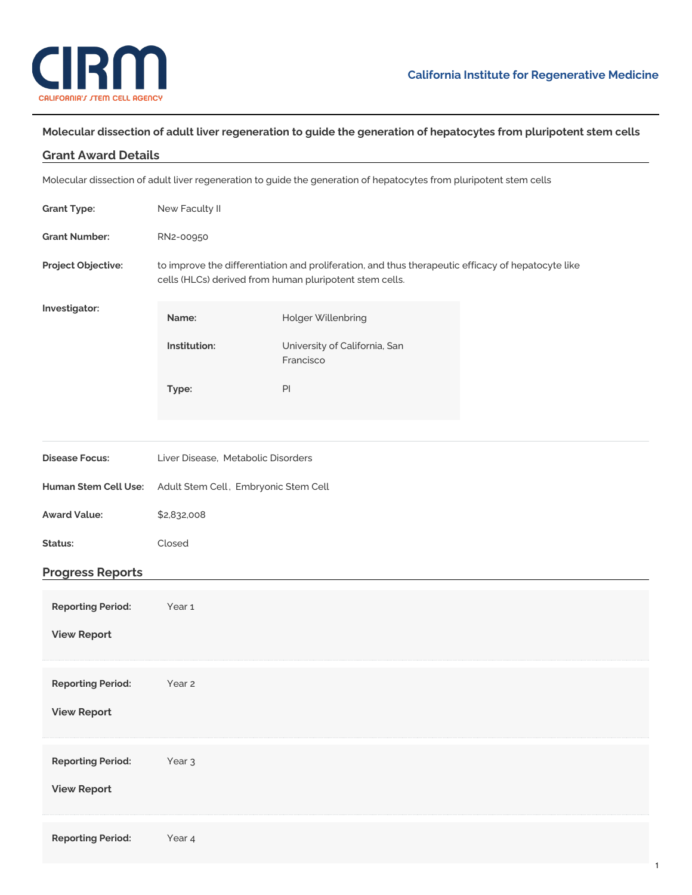

## Molecular dissection of adult liver regeneration to guide the generation of hepatocytes from pluripotent stem cells

| <b>Grant Award Details</b> |                                                                                                                                                               |                                                                                                                     |  |  |
|----------------------------|---------------------------------------------------------------------------------------------------------------------------------------------------------------|---------------------------------------------------------------------------------------------------------------------|--|--|
|                            |                                                                                                                                                               | Molecular dissection of adult liver regeneration to guide the generation of hepatocytes from pluripotent stem cells |  |  |
| <b>Grant Type:</b>         | New Faculty II                                                                                                                                                |                                                                                                                     |  |  |
| <b>Grant Number:</b>       | RN2-00950                                                                                                                                                     |                                                                                                                     |  |  |
| Project Objective:         | to improve the differentiation and proliferation, and thus therapeutic efficacy of hepatocyte like<br>cells (HLCs) derived from human pluripotent stem cells. |                                                                                                                     |  |  |
| Investigator:              | Name:                                                                                                                                                         | Holger Willenbring                                                                                                  |  |  |
|                            | Institution:                                                                                                                                                  | University of California, San<br>Francisco                                                                          |  |  |
|                            | Type:                                                                                                                                                         | PI                                                                                                                  |  |  |
|                            |                                                                                                                                                               |                                                                                                                     |  |  |
| <b>Disease Focus:</b>      | Liver Disease, Metabolic Disorders                                                                                                                            |                                                                                                                     |  |  |
| Human Stem Cell Use:       | Adult Stem Cell, Embryonic Stem Cell                                                                                                                          |                                                                                                                     |  |  |
| <b>Award Value:</b>        | \$2,832,008                                                                                                                                                   |                                                                                                                     |  |  |
| Status:                    | Closed                                                                                                                                                        |                                                                                                                     |  |  |
| <b>Progress Reports</b>    |                                                                                                                                                               |                                                                                                                     |  |  |
| <b>Reporting Period:</b>   | Year 1                                                                                                                                                        |                                                                                                                     |  |  |
| <b>View Report</b>         |                                                                                                                                                               |                                                                                                                     |  |  |
| <b>Reporting Period:</b>   | Year 2                                                                                                                                                        |                                                                                                                     |  |  |
| <b>View Report</b>         |                                                                                                                                                               |                                                                                                                     |  |  |
| <b>Reporting Period:</b>   | Year <sub>3</sub>                                                                                                                                             |                                                                                                                     |  |  |
| <b>View Report</b>         |                                                                                                                                                               |                                                                                                                     |  |  |
| <b>Reporting Period:</b>   | Year 4                                                                                                                                                        |                                                                                                                     |  |  |